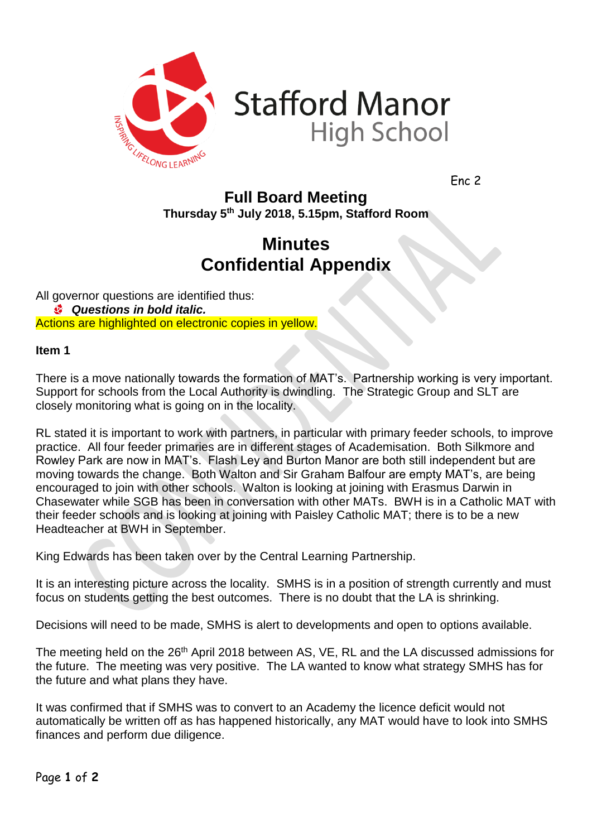

**Stafford Manor High School** 

Enc 2

## **Full Board Meeting Thursday 5 th July 2018, 5.15pm, Stafford Room**

## **Minutes Confidential Appendix**

All governor questions are identified thus: *Questions in bold italic.* Actions are highlighted on electronic copies in yellow.

## **Item 1**

There is a move nationally towards the formation of MAT's. Partnership working is very important. Support for schools from the Local Authority is dwindling. The Strategic Group and SLT are closely monitoring what is going on in the locality.

RL stated it is important to work with partners, in particular with primary feeder schools, to improve practice. All four feeder primaries are in different stages of Academisation. Both Silkmore and Rowley Park are now in MAT's. Flash Ley and Burton Manor are both still independent but are moving towards the change. Both Walton and Sir Graham Balfour are empty MAT's, are being encouraged to join with other schools. Walton is looking at joining with Erasmus Darwin in Chasewater while SGB has been in conversation with other MATs. BWH is in a Catholic MAT with their feeder schools and is looking at joining with Paisley Catholic MAT; there is to be a new Headteacher at BWH in September.

King Edwards has been taken over by the Central Learning Partnership.

It is an interesting picture across the locality. SMHS is in a position of strength currently and must focus on students getting the best outcomes. There is no doubt that the LA is shrinking.

Decisions will need to be made, SMHS is alert to developments and open to options available.

The meeting held on the 26<sup>th</sup> April 2018 between AS, VE, RL and the LA discussed admissions for the future. The meeting was very positive. The LA wanted to know what strategy SMHS has for the future and what plans they have.

It was confirmed that if SMHS was to convert to an Academy the licence deficit would not automatically be written off as has happened historically, any MAT would have to look into SMHS finances and perform due diligence.